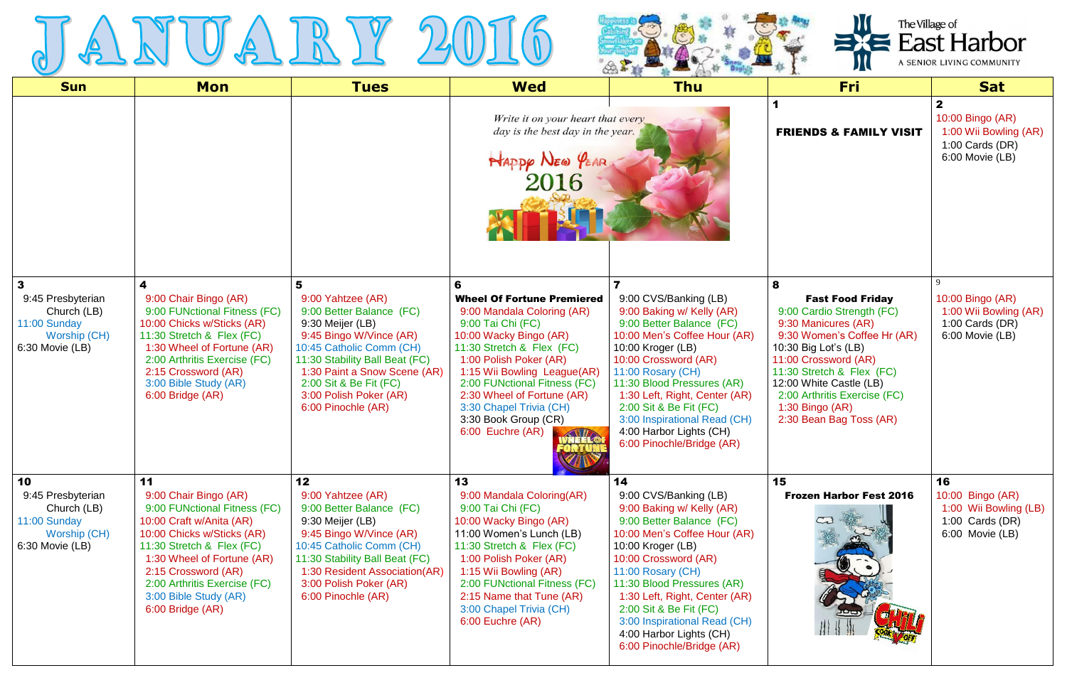



| <b>Sun</b>                                                                                | <b>Mon</b>                                                                                                                                                                                                                                                                           | <b>Tues</b>                                                                                                                                                                                                                                                               | <b>Wed</b>                                                                                                                                                                                                                                                                                                                                                          | $\alpha$ is $\alpha$<br>$\sqrt{2}$<br><b>Thu</b>                                                                                                                                                                                                                                                                                                                        | $\mathcal{F}$<br><b>Fri</b>                                                                                                                                                                                                                                                                           | <b>Sat</b>                                                                                        |
|-------------------------------------------------------------------------------------------|--------------------------------------------------------------------------------------------------------------------------------------------------------------------------------------------------------------------------------------------------------------------------------------|---------------------------------------------------------------------------------------------------------------------------------------------------------------------------------------------------------------------------------------------------------------------------|---------------------------------------------------------------------------------------------------------------------------------------------------------------------------------------------------------------------------------------------------------------------------------------------------------------------------------------------------------------------|-------------------------------------------------------------------------------------------------------------------------------------------------------------------------------------------------------------------------------------------------------------------------------------------------------------------------------------------------------------------------|-------------------------------------------------------------------------------------------------------------------------------------------------------------------------------------------------------------------------------------------------------------------------------------------------------|---------------------------------------------------------------------------------------------------|
|                                                                                           |                                                                                                                                                                                                                                                                                      |                                                                                                                                                                                                                                                                           | Write it on your heart that every<br>day is the best day in the year.<br>NAPPP NEW YEAR                                                                                                                                                                                                                                                                             |                                                                                                                                                                                                                                                                                                                                                                         | <b>FRIENDS &amp; FAMILY VISIT</b>                                                                                                                                                                                                                                                                     | $\mathbf{2}$<br>10:00 Bingo (AR)<br>1:00 Wii Bowling (AR)<br>1:00 Cards $(DR)$<br>6:00 Movie (LB) |
| 3<br>9:45 Presbyterian<br>Church (LB)<br>11:00 Sunday<br>Worship (CH)<br>6:30 Movie (LB)  | 4<br>9:00 Chair Bingo (AR)<br>9:00 FUNctional Fitness (FC)<br>10:00 Chicks w/Sticks (AR)<br>11:30 Stretch & Flex (FC)<br>1:30 Wheel of Fortune (AR)<br>2:00 Arthritis Exercise (FC)<br>2:15 Crossword (AR)<br>3:00 Bible Study (AR)<br>6:00 Bridge (AR)                              | 5<br>9:00 Yahtzee (AR)<br>9:00 Better Balance (FC)<br>9:30 Meijer (LB)<br>9:45 Bingo W/Vince (AR)<br>10:45 Catholic Comm (CH)<br>11:30 Stability Ball Beat (FC)<br>1:30 Paint a Snow Scene (AR)<br>2:00 Sit & Be Fit (FC)<br>3:00 Polish Poker (AR)<br>6:00 Pinochle (AR) | 6<br><b>Wheel Of Fortune Premiered</b><br>9:00 Mandala Coloring (AR)<br>9:00 Tai Chi (FC)<br>10:00 Wacky Bingo (AR)<br>11:30 Stretch & Flex (FC)<br>1:00 Polish Poker (AR)<br>1:15 Wii Bowling League(AR)<br>2:00 FUNctional Fitness (FC)<br>2:30 Wheel of Fortune (AR)<br>3:30 Chapel Trivia (CH)<br>3:30 Book Group (CR)<br>6:00 Euchre (AR)<br><b>AND STATES</b> | 9:00 CVS/Banking (LB)<br>9:00 Baking w/ Kelly (AR)<br>9:00 Better Balance (FC)<br>10:00 Men's Coffee Hour (AR)<br>10:00 Kroger (LB)<br>10:00 Crossword (AR)<br>11:00 Rosary (CH)<br>11:30 Blood Pressures (AR)<br>1:30 Left, Right, Center (AR)<br>2:00 Sit & Be Fit (FC)<br>3:00 Inspirational Read (CH)<br>4:00 Harbor Lights (CH)<br>6:00 Pinochle/Bridge (AR)       | 8<br><b>Fast Food Friday</b><br>9:00 Cardio Strength (FC)<br>9:30 Manicures (AR)<br>9:30 Women's Coffee Hr (AR)<br>10:30 Big Lot's (LB)<br>11:00 Crossword (AR)<br>11:30 Stretch & Flex (FC)<br>12:00 White Castle (LB)<br>2:00 Arthritis Exercise (FC)<br>1:30 Bingo (AR)<br>2:30 Bean Bag Toss (AR) | 10:00 Bingo (AR)<br>1:00 Wii Bowling (AR)<br>1:00 Cards $(DR)$<br>6:00 Movie (LB)                 |
| 10<br>9:45 Presbyterian<br>Church (LB)<br>11:00 Sunday<br>Worship (CH)<br>6:30 Movie (LB) | 11<br>9:00 Chair Bingo (AR)<br>9:00 FUNctional Fitness (FC)<br>10:00 Craft w/Anita (AR)<br>10:00 Chicks w/Sticks (AR)<br>11:30 Stretch & Flex (FC)<br>1:30 Wheel of Fortune (AR)<br>2:15 Crossword (AR)<br>2:00 Arthritis Exercise (FC)<br>3:00 Bible Study (AR)<br>6:00 Bridge (AR) | 12<br>9:00 Yahtzee (AR)<br>9:00 Better Balance (FC)<br>9:30 Meijer (LB)<br>9:45 Bingo W/Vince (AR)<br>10:45 Catholic Comm (CH)<br>11:30 Stability Ball Beat (FC)<br>1:30 Resident Association(AR)<br>3:00 Polish Poker (AR)<br>6:00 Pinochle (AR)                         | 13<br>9:00 Mandala Coloring(AR)<br>9:00 Tai Chi (FC)<br>10:00 Wacky Bingo (AR)<br>11:00 Women's Lunch (LB)<br>11:30 Stretch & Flex (FC)<br>1:00 Polish Poker (AR)<br>1:15 Wii Bowling (AR)<br>2:00 FUNctional Fitness (FC)<br>2:15 Name that Tune (AR)<br>3:00 Chapel Trivia (CH)<br>6:00 Euchre (AR)                                                               | 14<br>9:00 CVS/Banking (LB)<br>9:00 Baking w/ Kelly (AR)<br>9:00 Better Balance (FC)<br>10:00 Men's Coffee Hour (AR)<br>10:00 Kroger (LB)<br>10:00 Crossword (AR)<br>11:00 Rosary (CH)<br>11:30 Blood Pressures (AR)<br>1:30 Left, Right, Center (AR)<br>2:00 Sit & Be Fit (FC)<br>3:00 Inspirational Read (CH)<br>4:00 Harbor Lights (CH)<br>6:00 Pinochle/Bridge (AR) | 15<br><b>Frozen Harbor Fest 2016</b>                                                                                                                                                                                                                                                                  | 16<br>10:00 Bingo (AR)<br>1:00 Wii Bowling (LB)<br>1:00 Cards $(DR)$<br>6:00 Movie (LB)           |